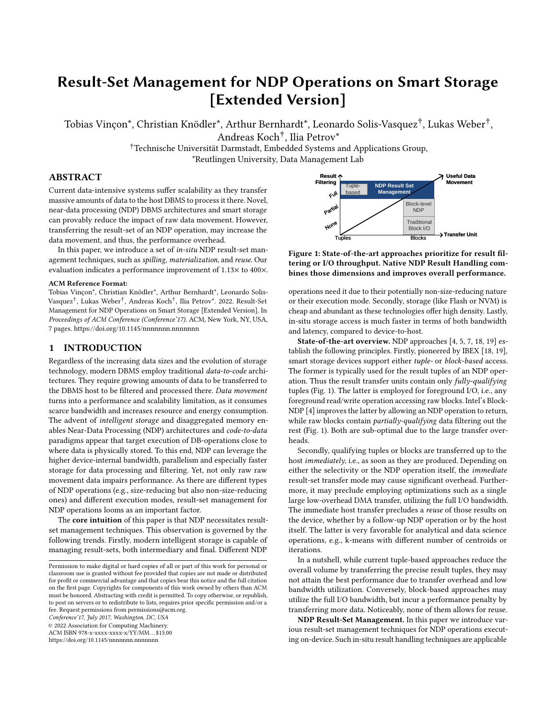# Result-Set Management for NDP Operations on Smart Storage [Extended Version]

Tobias Vinçon\*, Christian Knödler\*, Arthur Bernhardt\*, Leonardo Solis-Vasquez† , Lukas Weber† , Andreas Koch† , Ilia Petrov\*

> †Technische Universität Darmstadt, Embedded Systems and Applications Group, \*Reutlingen University, Data Management Lab

## ABSTRACT

Current data-intensive systems suffer scalability as they transfer massive amounts of data to the host DBMS to process it there. Novel, near-data processing (NDP) DBMS architectures and smart storage can provably reduce the impact of raw data movement. However, transferring the result-set of an NDP operation, may increase the data movement, and thus, the performance overhead.

In this paper, we introduce a set of in-situ NDP result-set management techniques, such as spilling, materialization, and reuse. Our evaluation indicates a performance improvement of 1.13× to 400×.

#### ACM Reference Format:

Tobias Vinçon\*, Christian Knödler\*, Arthur Bernhardt\*, Leonardo Solis-Vasquez† , Lukas Weber† , Andreas Koch† , Ilia Petrov\*. 2022. Result-Set Management for NDP Operations on Smart Storage [Extended Version]. In Proceedings of ACM Conference (Conference'17). ACM, New York, NY, USA, [7](#page-6-0) pages.<https://doi.org/10.1145/nnnnnnn.nnnnnnn>

#### 1 INTRODUCTION

Regardless of the increasing data sizes and the evolution of storage technology, modern DBMS employ traditional data-to-code architectures. They require growing amounts of data to be transferred to the DBMS host to be filtered and processed there. Data movement turns into a performance and scalability limitation, as it consumes scarce bandwidth and increases resource and energy consumption. The advent of intelligent storage and disaggregated memory enables Near-Data Processing (NDP) architectures and code-to-data paradigms appear that target execution of DB-operations close to where data is physically stored. To this end, NDP can leverage the higher device-internal bandwidth, parallelism and especially faster storage for data processing and filtering. Yet, not only raw raw movement data impairs performance. As there are different types of NDP operations (e.g., size-reducing but also non-size-reducing ones) and different execution modes, result-set management for NDP operations looms as an important factor.

The core intuition of this paper is that NDP necessitates resultset management techniques. This observation is governed by the following trends. Firstly, modern intelligent storage is capable of managing result-sets, both intermediary and final. Different NDP

Conference'17, July 2017, Washington, DC, USA

© 2022 Association for Computing Machinery.

ACM ISBN 978-x-xxxx-xxxx-x/YY/MM. . . \$15.00

<https://doi.org/10.1145/nnnnnnn.nnnnnnn>

<span id="page-0-0"></span>

Figure 1: State-of-the-art approaches prioritize for result filtering or I/O throughput. Native NDP Result Handling combines those dimensions and improves overall performance.

operations need it due to their potentially non-size-reducing nature or their execution mode. Secondly, storage (like Flash or NVM) is cheap and abundant as these technologies offer high density. Lastly, in-situ storage access is much faster in terms of both bandwidth and latency, compared to device-to-host.

State-of-the-art overview. NDP approaches [\[4,](#page-6-1) [5,](#page-6-2) [7,](#page-6-3) [18,](#page-6-4) [19\]](#page-6-5) establish the following principles. Firstly, pioneered by IBEX [\[18,](#page-6-4) [19\]](#page-6-5), smart storage devices support either tuple- or block-based access. The former is typically used for the result tuples of an NDP operation. Thus the result transfer units contain only fully-qualifying tuples (Fig. [1\)](#page-0-0). The latter is employed for foreground I/O, i.e., any foreground read/write operation accessing raw blocks. Intel's Block-NDP [\[4\]](#page-6-1) improves the latter by allowing an NDP operation to return, while raw blocks contain *partially-qualifying* data filtering out the rest (Fig. [1\)](#page-0-0). Both are sub-optimal due to the large transfer overheads.

Secondly, qualifying tuples or blocks are transferred up to the host immediately, i.e., as soon as they are produced. Depending on either the selectivity or the NDP operation itself, the immediate result-set transfer mode may cause significant overhead. Furthermore, it may preclude employing optimizations such as a single large low-overhead DMA transfer, utilizing the full I/O bandwidth. The immediate host transfer precludes a reuse of those results on the device, whether by a follow-up NDP operation or by the host itself. The latter is very favorable for analytical and data science operations, e.g., k-means with different number of centroids or iterations.

In a nutshell, while current tuple-based approaches reduce the overall volume by transferring the precise result tuples, they may not attain the best performance due to transfer overhead and low bandwidth utilization. Conversely, block-based approaches may utilize the full I/O bandwidth, but incur a performance penalty by transferring more data. Noticeably, none of them allows for reuse.

NDP Result-Set Management. In this paper we introduce various result-set management techniques for NDP operations executing on-device. Such in-situ result handling techniques are applicable

Permission to make digital or hard copies of all or part of this work for personal or classroom use is granted without fee provided that copies are not made or distributed for profit or commercial advantage and that copies bear this notice and the full citation on the first page. Copyrights for components of this work owned by others than ACM must be honored. Abstracting with credit is permitted. To copy otherwise, or republish, to post on servers or to redistribute to lists, requires prior specific permission and/or a fee. Request permissions from permissions@acm.org.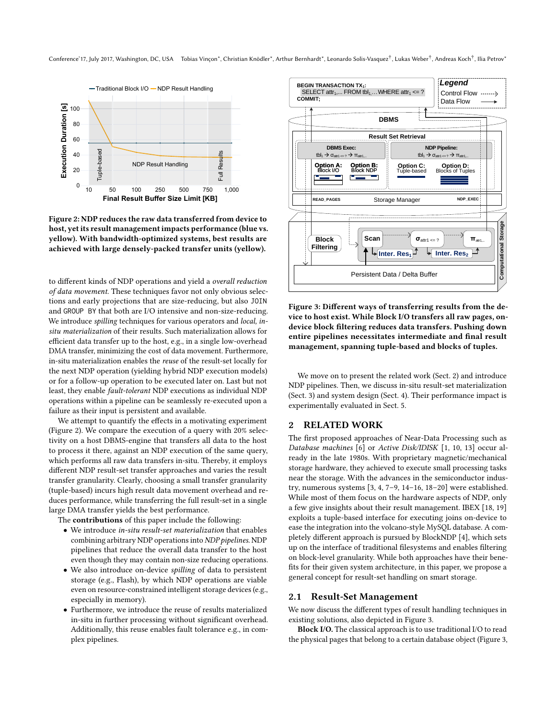Conference'17, July 2017, Washington, DC, USA Tobias Vinçon\*, Christian Knödler\*, Arthur Bernhardt\*, Leonardo Solis-Vasquez†, Lukas Weber†, Andreas Koch†, Ilia Petrov\*

<span id="page-1-0"></span>

Figure 2: NDP reduces the raw data transferred from device to host, yet its result management impacts performance (blue vs. yellow). With bandwidth-optimized systems, best results are achieved with large densely-packed transfer units (yellow).

to different kinds of NDP operations and yield a overall reduction of data movement. These techniques favor not only obvious selections and early projections that are size-reducing, but also JOIN and GROUP BY that both are I/O intensive and non-size-reducing. We introduce *spilling* techniques for various operators and *local*, insitu materialization of their results. Such materialization allows for efficient data transfer up to the host, e.g., in a single low-overhead DMA transfer, minimizing the cost of data movement. Furthermore, in-situ materialization enables the reuse of the result-set locally for the next NDP operation (yielding hybrid NDP execution models) or for a follow-up operation to be executed later on. Last but not least, they enable fault-tolerant NDP executions as individual NDP operations within a pipeline can be seamlessly re-executed upon a failure as their input is persistent and available.

We attempt to quantify the effects in a motivating experiment (Figure [2\)](#page-1-0). We compare the execution of a query with 20% selectivity on a host DBMS-engine that transfers all data to the host to process it there, against an NDP execution of the same query, which performs all raw data transfers in-situ. Thereby, it employs different NDP result-set transfer approaches and varies the result transfer granularity. Clearly, choosing a small transfer granularity (tuple-based) incurs high result data movement overhead and reduces performance, while transferring the full result-set in a single large DMA transfer yields the best performance.

The contributions of this paper include the following:

- We introduce in-situ result-set materialization that enables combining arbitrary NDP operations into NDP pipelines. NDP pipelines that reduce the overall data transfer to the host even though they may contain non-size reducing operations.
- We also introduce on-device spilling of data to persistent storage (e.g., Flash), by which NDP operations are viable even on resource-constrained intelligent storage devices (e.g., especially in memory).
- Furthermore, we introduce the reuse of results materialized in-situ in further processing without significant overhead. Additionally, this reuse enables fault tolerance e.g., in complex pipelines.

<span id="page-1-2"></span>

Figure 3: Different ways of transferring results from the device to host exist. While Block I/O transfers all raw pages, ondevice block filtering reduces data transfers. Pushing down entire pipelines necessitates intermediate and final result management, spanning tuple-based and blocks of tuples.

We move on to present the related work (Sect. [2\)](#page-1-1) and introduce NDP pipelines. Then, we discuss in-situ result-set materialization (Sect. [3\)](#page-2-0) and system design (Sect. [4\)](#page-3-0). Their performance impact is experimentally evaluated in Sect. [5.](#page-4-0)

## <span id="page-1-1"></span>2 RELATED WORK

The first proposed approaches of Near-Data Processing such as Database machines [\[6\]](#page-6-6) or Active Disk/IDISK [\[1,](#page-6-7) [10,](#page-6-8) [13\]](#page-6-9) occur already in the late 1980s. With proprietary magnetic/mechanical storage hardware, they achieved to execute small processing tasks near the storage. With the advances in the semiconductor industry, numerous systems [\[3,](#page-6-10) [4,](#page-6-1) [7–](#page-6-3)[9,](#page-6-11) [14–](#page-6-12)[16,](#page-6-13) [18–](#page-6-4)[20\]](#page-6-14) were established. While most of them focus on the hardware aspects of NDP, only a few give insights about their result management. IBEX [\[18,](#page-6-4) [19\]](#page-6-5) exploits a tuple-based interface for executing joins on-device to ease the integration into the volcano-style MySQL database. A completely different approach is pursued by BlockNDP [\[4\]](#page-6-1), which sets up on the interface of traditional filesystems and enables filtering on block-level granularity. While both approaches have their benefits for their given system architecture, in this paper, we propose a general concept for result-set handling on smart storage.

#### 2.1 Result-Set Management

We now discuss the different types of result handling techniques in existing solutions, also depicted in Figure [3.](#page-1-2)

Block I/O. The classical approach is to use traditional I/O to read the physical pages that belong to a certain database object (Figure [3,](#page-1-2)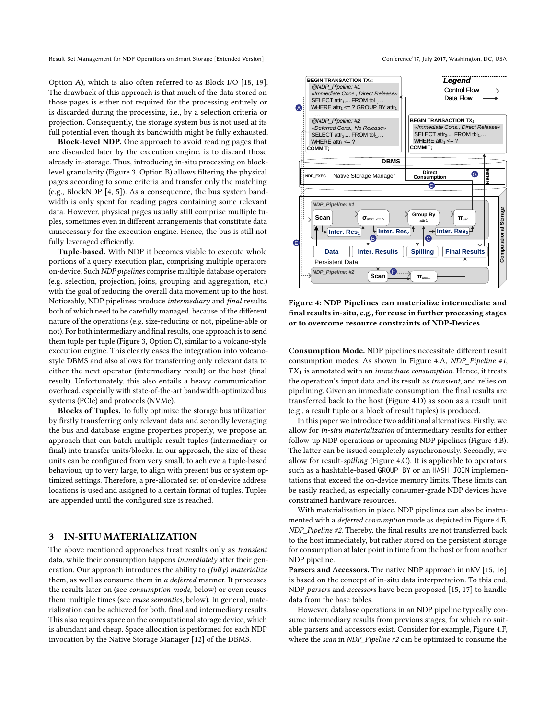Result-Set Management for NDP Operations on Smart Storage [Extended Version] Conference'17, July 2017, Washington, DC, USA

Option A), which is also often referred to as Block I/O [\[18,](#page-6-4) [19\]](#page-6-5). The drawback of this approach is that much of the data stored on those pages is either not required for the processing entirely or is discarded during the processing, i.e., by a selection criteria or projection. Consequently, the storage system bus is not used at its full potential even though its bandwidth might be fully exhausted.

Block-level NDP. One approach to avoid reading pages that are discarded later by the execution engine, is to discard those already in-storage. Thus, introducing in-situ processing on blocklevel granularity (Figure [3,](#page-1-2) Option B) allows filtering the physical pages according to some criteria and transfer only the matching (e.g., BlockNDP [\[4,](#page-6-1) [5\]](#page-6-2)). As a consequence, the bus system bandwidth is only spent for reading pages containing some relevant data. However, physical pages usually still comprise multiple tuples, sometimes even in different arrangements that constitute data unnecessary for the execution engine. Hence, the bus is still not fully leveraged efficiently.

Tuple-based. With NDP it becomes viable to execute whole portions of a query execution plan, comprising multiple operators on-device. Such NDP pipelines comprise multiple database operators (e.g. selection, projection, joins, grouping and aggregation, etc.) with the goal of reducing the overall data movement up to the host. Noticeably, NDP pipelines produce intermediary and final results, both of which need to be carefully managed, because of the different nature of the operations (e.g. size-reducing or not, pipeline-able or not). For both intermediary and final results, one approach is to send them tuple per tuple (Figure [3,](#page-1-2) Option C), similar to a volcano-style execution engine. This clearly eases the integration into volcanostyle DBMS and also allows for transferring only relevant data to either the next operator (intermediary result) or the host (final result). Unfortunately, this also entails a heavy communication overhead, especially with state-of-the-art bandwidth-optimized bus systems (PCIe) and protocols (NVMe).

Blocks of Tuples. To fully optimize the storage bus utilization by firstly transferring only relevant data and secondly leveraging the bus and database engine properties properly, we propose an approach that can batch multiple result tuples (intermediary or final) into transfer units/blocks. In our approach, the size of these units can be configured from very small, to achieve a tuple-based behaviour, up to very large, to align with present bus or system optimized settings. Therefore, a pre-allocated set of on-device address locations is used and assigned to a certain format of tuples. Tuples are appended until the configured size is reached.

#### <span id="page-2-0"></span>3 IN-SITU MATERIALIZATION

The above mentioned approaches treat results only as *transient* data, while their consumption happens immediately after their generation. Our approach introduces the ability to (fully) materialize them, as well as consume them in a deferred manner. It processes the results later on (see consumption mode, below) or even reuses them multiple times (see reuse semantics, below). In general, materialization can be achieved for both, final and intermediary results. This also requires space on the computational storage device, which is abundant and cheap. Space allocation is performed for each NDP invocation by the Native Storage Manager [\[12\]](#page-6-15) of the DBMS.

<span id="page-2-1"></span>

Figure 4: NDP Pipelines can materialize intermediate and final results in-situ, e.g., for reuse in further processing stages or to overcome resource constraints of NDP-Devices.

Consumption Mode. NDP pipelines necessitate different result consumption modes. As shown in Figure [4.](#page-2-1)A, NDP\_Pipeline #1,  $TX_1$  is annotated with an *immediate consumption*. Hence, it treats the operation's input data and its result as transient, and relies on pipelining. Given an immediate consumption, the final results are transferred back to the host (Figure [4.](#page-2-1)D) as soon as a result unit (e.g., a result tuple or a block of result tuples) is produced.

In this paper we introduce two additional alternatives. Firstly, we allow for in-situ materialization of intermediary results for either follow-up NDP operations or upcoming NDP pipelines (Figure [4.](#page-2-1)B). The latter can be issued completely asynchronously. Secondly, we allow for result-spilling (Figure [4.](#page-2-1)C). It is applicable to operators such as a hashtable-based GROUP BY or an HASH JOIN implementations that exceed the on-device memory limits. These limits can be easily reached, as especially consumer-grade NDP devices have constrained hardware resources.

With materialization in place, NDP pipelines can also be instrumented with a deferred consumption mode as depicted in Figure [4.](#page-2-1)E, NDP\_Pipeline #2. Thereby, the final results are not transferred back to the host immediately, but rather stored on the persistent storage for consumption at later point in time from the host or from another NDP pipeline.

Parsers and Accessors. The native NDP approach in nKV [\[15,](#page-6-16) [16\]](#page-6-13) is based on the concept of in-situ data interpretation. To this end, NDP parsers and accessors have been proposed [\[15,](#page-6-16) [17\]](#page-6-17) to handle data from the base tables.

However, database operations in an NDP pipeline typically consume intermediary results from previous stages, for which no suitable parsers and accessors exist. Consider for example, Figure [4.](#page-2-1)F, where the scan in NDP\_Pipeline #2 can be optimized to consume the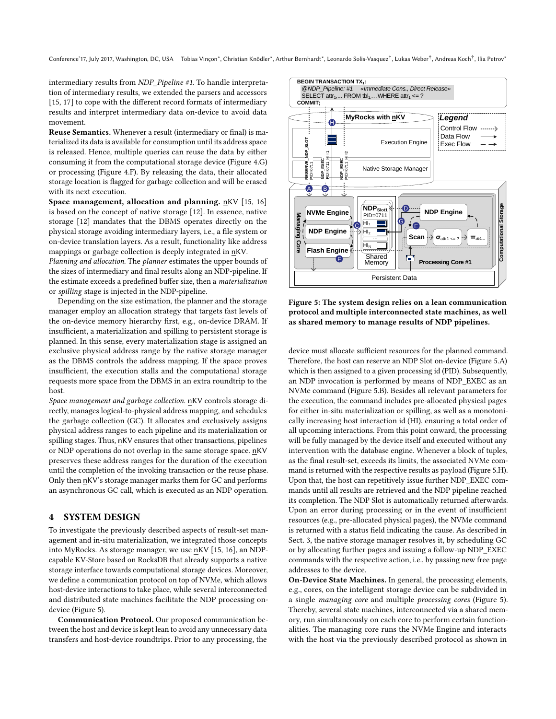Conference'17, July 2017, Washington, DC, USA Tobias Vinçon\*, Christian Knödler\*, Arthur Bernhardt\*, Leonardo Solis-Vasquez†, Lukas Weber†, Andreas Koch†, Ilia Petrov\*

intermediary results from NDP\_Pipeline #1. To handle interpretation of intermediary results, we extended the parsers and accessors [\[15,](#page-6-16) [17\]](#page-6-17) to cope with the different record formats of intermediary results and interpret intermediary data on-device to avoid data movement.

Reuse Semantics. Whenever a result (intermediary or final) is materialized its data is available for consumption until its address space is released. Hence, multiple queries can reuse the data by either consuming it from the computational storage device (Figure [4.](#page-2-1)G) or processing (Figure [4.](#page-2-1)F). By releasing the data, their allocated storage location is flagged for garbage collection and will be erased with its next execution.

Space management, allocation and planning. nKV [\[15,](#page-6-16) [16\]](#page-6-13) is based on the concept of native storage [\[12\]](#page-6-15). In essence, native storage [\[12\]](#page-6-15) mandates that the DBMS operates directly on the physical storage avoiding intermediary layers, i.e., a file system or on-device translation layers. As a result, functionality like address mappings or garbage collection is deeply integrated in nKV.

Planning and allocation. The planner estimates the upper bounds of the sizes of intermediary and final results along an NDP-pipeline. If the estimate exceeds a predefined buffer size, then a materialization or spilling stage is injected in the NDP-pipeline.

Depending on the size estimation, the planner and the storage manager employ an allocation strategy that targets fast levels of the on-device memory hierarchy first, e.g., on-device DRAM. If insufficient, a materialization and spilling to persistent storage is planned. In this sense, every materialization stage is assigned an exclusive physical address range by the native storage manager as the DBMS controls the address mapping. If the space proves insufficient, the execution stalls and the computational storage requests more space from the DBMS in an extra roundtrip to the host.

Space management and garbage collection. nKV controls storage directly, manages logical-to-physical address mapping, and schedules the garbage collection (GC). It allocates and exclusively assigns physical address ranges to each pipeline and its materialization or spilling stages. Thus, nKV ensures that other transactions, pipelines or NDP operations do not overlap in the same storage space. nKV preserves these address ranges for the duration of the execution until the completion of the invoking transaction or the reuse phase. Only then nKV's storage manager marks them for GC and performs an asynchronous GC call, which is executed as an NDP operation.

#### <span id="page-3-0"></span>4 SYSTEM DESIGN

To investigate the previously described aspects of result-set management and in-situ materialization, we integrated those concepts into MyRocks. As storage manager, we use nKV [\[15,](#page-6-16) [16\]](#page-6-13), an NDPcapable KV-Store based on RocksDB that already supports a native storage interface towards computational storage devices. Moreover, we define a communication protocol on top of NVMe, which allows host-device interactions to take place, while several interconnected and distributed state machines facilitate the NDP processing ondevice (Figure [5\)](#page-3-1).

Communication Protocol. Our proposed communication between the host and device is kept lean to avoid any unnecessary data transfers and host-device roundtrips. Prior to any processing, the

<span id="page-3-1"></span>

Figure 5: The system design relies on a lean communication protocol and multiple interconnected state machines, as well as shared memory to manage results of NDP pipelines.

device must allocate sufficient resources for the planned command. Therefore, the host can reserve an NDP Slot on-device (Figure [5.](#page-3-1)A) which is then assigned to a given processing id (PID). Subsequently, an NDP invocation is performed by means of NDP\_EXEC as an NVMe command (Figure [5.](#page-3-1)B). Besides all relevant parameters for the execution, the command includes pre-allocated physical pages for either in-situ materialization or spilling, as well as a monotonically increasing host interaction id (HI), ensuring a total order of all upcoming interactions. From this point onward, the processing will be fully managed by the device itself and executed without any intervention with the database engine. Whenever a block of tuples, as the final result-set, exceeds its limits, the associated NVMe command is returned with the respective results as payload (Figure [5.](#page-3-1)H). Upon that, the host can repetitively issue further NDP\_EXEC commands until all results are retrieved and the NDP pipeline reached its completion. The NDP Slot is automatically returned afterwards. Upon an error during processing or in the event of insufficient resources (e.g., pre-allocated physical pages), the NVMe command is returned with a status field indicating the cause. As described in Sect. [3,](#page-2-0) the native storage manager resolves it, by scheduling GC or by allocating further pages and issuing a follow-up NDP\_EXEC commands with the respective action, i.e., by passing new free page addresses to the device.

On-Device State Machines. In general, the processing elements, e.g., cores, on the intelligent storage device can be subdivided in a single managing core and multiple processing cores (Figure [5\)](#page-3-1). Thereby, several state machines, interconnected via a shared memory, run simultaneously on each core to perform certain functionalities. The managing core runs the NVMe Engine and interacts with the host via the previously described protocol as shown in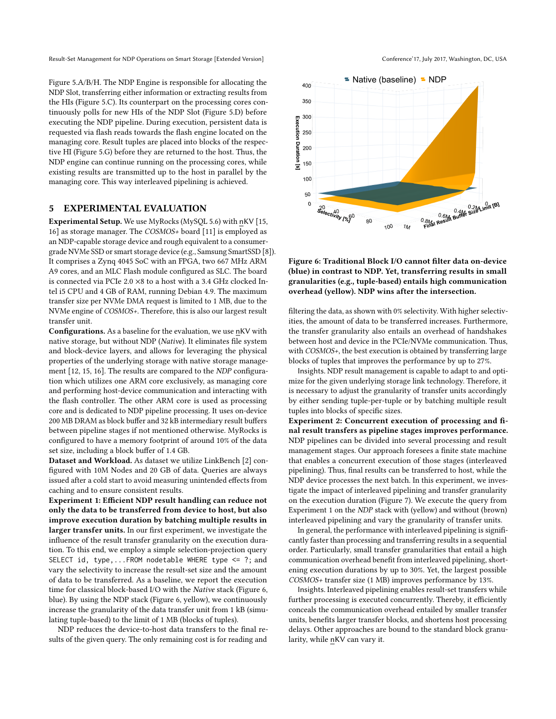Result-Set Management for NDP Operations on Smart Storage [Extended Version] Conference'17, July 2017, Washington, DC, USA

Figure [5.](#page-3-1)A/B/H. The NDP Engine is responsible for allocating the NDP Slot, transferring either information or extracting results from the HIs (Figure [5.](#page-3-1)C). Its counterpart on the processing cores continuously polls for new HIs of the NDP Slot (Figure [5.](#page-3-1)D) before executing the NDP pipeline. During execution, persistent data is requested via flash reads towards the flash engine located on the managing core. Result tuples are placed into blocks of the respective HI (Figure [5.](#page-3-1)G) before they are returned to the host. Thus, the NDP engine can continue running on the processing cores, while existing results are transmitted up to the host in parallel by the managing core. This way interleaved pipelining is achieved.

## <span id="page-4-0"></span>5 EXPERIMENTAL EVALUATION

Experimental Setup. We use MyRocks (MySQL 5.6) with nKV [\[15,](#page-6-16) [16\]](#page-6-13) as storage manager. The COSMOS+ board [\[11\]](#page-6-18) is employed as an NDP-capable storage device and rough equivalent to a consumergrade NVMe SSD or smart storage device (e.g., Samsung SmartSSD [\[8\]](#page-6-19)). It comprises a Zynq 4045 SoC with an FPGA, two 667 MHz ARM A9 cores, and an MLC Flash module configured as SLC. The board is connected via PCIe 2.0 ×8 to a host with a 3.4 GHz clocked Intel i5 CPU and 4 GB of RAM, running Debian 4.9. The maximum transfer size per NVMe DMA request is limited to 1 MB, due to the NVMe engine of COSMOS+. Therefore, this is also our largest result transfer unit.

Configurations. As a baseline for the evaluation, we use nKV with native storage, but without NDP (Native). It eliminates file system and block-device layers, and allows for leveraging the physical properties of the underlying storage with native storage management [\[12,](#page-6-15) [15,](#page-6-16) [16\]](#page-6-13). The results are compared to the NDP configuration which utilizes one ARM core exclusively, as managing core and performing host-device communication and interacting with the flash controller. The other ARM core is used as processing core and is dedicated to NDP pipeline processing. It uses on-device 200 MB DRAM as block buffer and 32 kB intermediary result buffers between pipeline stages if not mentioned otherwise. MyRocks is configured to have a memory footprint of around 10% of the data set size, including a block buffer of 1.4 GB.

Dataset and Workload. As dataset we utilize LinkBench [\[2\]](#page-6-20) configured with 10M Nodes and 20 GB of data. Queries are always issued after a cold start to avoid measuring unintended effects from caching and to ensure consistent results.

Experiment 1: Efficient NDP result handling can reduce not only the data to be transferred from device to host, but also improve execution duration by batching multiple results in larger transfer units. In our first experiment, we investigate the influence of the result transfer granularity on the execution duration. To this end, we employ a simple selection-projection query SELECT id, type,...FROM nodetable WHERE type <= ?; and vary the selectivity to increase the result-set size and the amount of data to be transferred. As a baseline, we report the execution time for classical block-based I/O with the Native stack (Figure [6,](#page-4-1) blue). By using the NDP stack (Figure [6,](#page-4-1) yellow), we continuously increase the granularity of the data transfer unit from 1 kB (simulating tuple-based) to the limit of 1 MB (blocks of tuples).

NDP reduces the device-to-host data transfers to the final results of the given query. The only remaining cost is for reading and

<span id="page-4-1"></span>

Figure 6: Traditional Block I/O cannot filter data on-device (blue) in contrast to NDP. Yet, transferring results in small granularities (e.g., tuple-based) entails high communication overhead (yellow). NDP wins after the intersection.

filtering the data, as shown with 0% selectivity. With higher selectivities, the amount of data to be transferred increases. Furthermore, the transfer granularity also entails an overhead of handshakes between host and device in the PCIe/NVMe communication. Thus, with COSMOS+, the best execution is obtained by transferring large blocks of tuples that improves the performance by up to 27%.

Insights. NDP result management is capable to adapt to and optimize for the given underlying storage link technology. Therefore, it is necessary to adjust the granularity of transfer units accordingly by either sending tuple-per-tuple or by batching multiple result tuples into blocks of specific sizes.

Experiment 2: Concurrent execution of processing and final result transfers as pipeline stages improves performance. NDP pipelines can be divided into several processing and result management stages. Our approach foresees a finite state machine that enables a concurrent execution of those stages (interleaved pipelining). Thus, final results can be transferred to host, while the NDP device processes the next batch. In this experiment, we investigate the impact of interleaved pipelining and transfer granularity on the execution duration (Figure [7\)](#page-5-0). We execute the query from Experiment 1 on the NDP stack with (yellow) and without (brown) interleaved pipelining and vary the granularity of transfer units.

In general, the performance with interleaved pipelining is significantly faster than processing and transferring results in a sequential order. Particularly, small transfer granularities that entail a high communication overhead benefit from interleaved pipelining, shortening execution durations by up to 30%. Yet, the largest possible COSMOS+ transfer size (1 MB) improves performance by 13%.

Insights. Interleaved pipelining enables result-set transfers while further processing is executed concurrently. Thereby, it efficiently conceals the communication overhead entailed by smaller transfer units, benefits larger transfer blocks, and shortens host processing delays. Other approaches are bound to the standard block granularity, while nKV can vary it.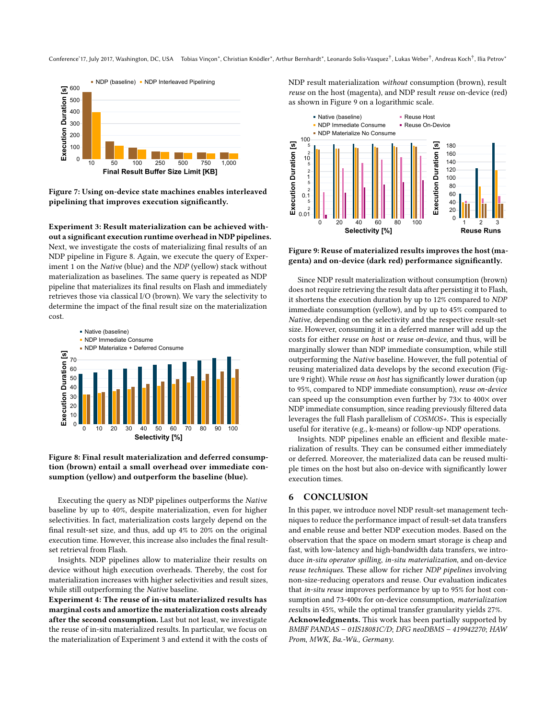<span id="page-5-0"></span>

Figure 7: Using on-device state machines enables interleaved pipelining that improves execution significantly.

Experiment 3: Result materialization can be achieved without a significant execution runtime overhead in NDP pipelines. Next, we investigate the costs of materializing final results of an NDP pipeline in Figure [8.](#page-5-1) Again, we execute the query of Experiment 1 on the Native (blue) and the NDP (yellow) stack without materialization as baselines. The same query is repeated as NDP pipeline that materializes its final results on Flash and immediately retrieves those via classical I/O (brown). We vary the selectivity to determine the impact of the final result size on the materialization cost.

<span id="page-5-1"></span>

Figure 8: Final result materialization and deferred consumption (brown) entail a small overhead over immediate consumption (yellow) and outperform the baseline (blue).

Executing the query as NDP pipelines outperforms the Native baseline by up to 40%, despite materialization, even for higher selectivities. In fact, materialization costs largely depend on the final result-set size, and thus, add up 4% to 20% on the original execution time. However, this increase also includes the final resultset retrieval from Flash.

Insights. NDP pipelines allow to materialize their results on device without high execution overheads. Thereby, the cost for materialization increases with higher selectivities and result sizes, while still outperforming the Native baseline.

Experiment 4: The reuse of in-situ materialized results has marginal costs and amortize the materialization costs already after the second consumption. Last but not least, we investigate the reuse of in-situ materialized results. In particular, we focus on the materialization of Experiment 3 and extend it with the costs of NDP result materialization without consumption (brown), result reuse on the host (magenta), and NDP result reuse on-device (red) as shown in Figure [9](#page-5-2) on a logarithmic scale.

<span id="page-5-2"></span>

Figure 9: Reuse of materialized results improves the host (magenta) and on-device (dark red) performance significantly.

Since NDP result materialization without consumption (brown) does not require retrieving the result data after persisting it to Flash, it shortens the execution duration by up to 12% compared to NDP immediate consumption (yellow), and by up to 45% compared to Native, depending on the selectivity and the respective result-set size. However, consuming it in a deferred manner will add up the costs for either reuse on host or reuse on-device, and thus, will be marginally slower than NDP immediate consumption, while still outperforming the Native baseline. However, the full potential of reusing materialized data develops by the second execution (Figure [9](#page-5-2) right). While reuse on host has significantly lower duration (up to 95%, compared to NDP immediate consumption), reuse on-device can speed up the consumption even further by 73× to 400× over NDP immediate consumption, since reading previously filtered data leverages the full Flash parallelism of COSMOS+. This is especially useful for iterative (e.g., k-means) or follow-up NDP operations.

Insights. NDP pipelines enable an efficient and flexible materialization of results. They can be consumed either immediately or deferred. Moreover, the materialized data can be reused multiple times on the host but also on-device with significantly lower execution times.

#### 6 CONCLUSION

In this paper, we introduce novel NDP result-set management techniques to reduce the performance impact of result-set data transfers and enable reuse and better NDP execution modes. Based on the observation that the space on modern smart storage is cheap and fast, with low-latency and high-bandwidth data transfers, we introduce in-situ operator spilling, in-situ materialization, and on-device reuse techniques. These allow for richer NDP pipelines involving non-size-reducing operators and reuse. Our evaluation indicates that in-situ reuse improves performance by up to 95% for host consumption and 73-400x for on-device consumption, materialization results in 45%, while the optimal transfer granularity yields 27%.

Acknowledgments. This work has been partially supported by BMBF PANDAS – 01IS18081C/D; DFG neoDBMS – 419942270; HAW Prom, MWK, Ba.-Wü., Germany.